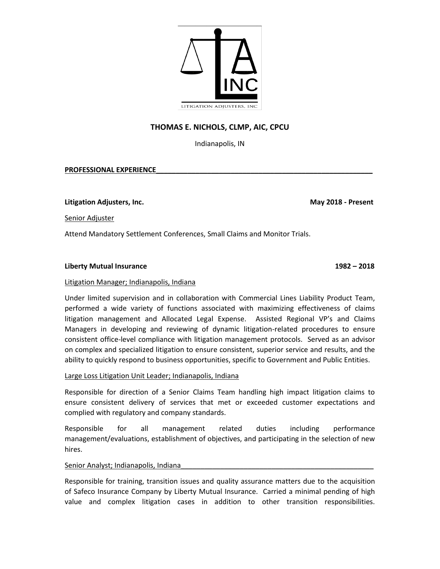

# **THOMAS E. NICHOLS, CLMP, AIC, CPCU**

Indianapolis, IN

# **PROFESSIONAL EXPERIENCE\_\_\_\_\_\_\_\_\_\_\_\_\_\_\_\_\_\_\_\_\_\_\_\_\_\_\_\_\_\_\_\_\_\_\_\_\_\_\_\_\_\_\_\_\_\_\_\_\_\_\_\_\_\_\_**

**Litigation Adjusters, Inc. May 2018 - Present**

Senior Adjuster

Attend Mandatory Settlement Conferences, Small Claims and Monitor Trials.

# **Liberty Mutual Insurance 1982 – 2018**

# Litigation Manager; Indianapolis, Indiana

Under limited supervision and in collaboration with Commercial Lines Liability Product Team, performed a wide variety of functions associated with maximizing effectiveness of claims litigation management and Allocated Legal Expense. Assisted Regional VP's and Claims Managers in developing and reviewing of dynamic litigation-related procedures to ensure consistent office-level compliance with litigation management protocols. Served as an advisor on complex and specialized litigation to ensure consistent, superior service and results, and the ability to quickly respond to business opportunities, specific to Government and Public Entities.

# Large Loss Litigation Unit Leader; Indianapolis, Indiana

Responsible for direction of a Senior Claims Team handling high impact litigation claims to ensure consistent delivery of services that met or exceeded customer expectations and complied with regulatory and company standards.

Responsible for all management related duties including performance management/evaluations, establishment of objectives, and participating in the selection of new hires.

# Senior Analyst; Indianapolis, Indiana

Responsible for training, transition issues and quality assurance matters due to the acquisition of Safeco Insurance Company by Liberty Mutual Insurance. Carried a minimal pending of high value and complex litigation cases in addition to other transition responsibilities.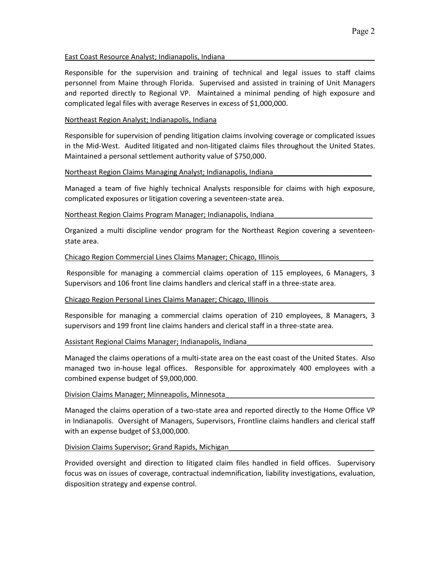## East Coast Resource Analyst; Indianapolis, Indiana\_\_\_\_\_\_\_\_\_\_\_\_\_\_\_\_\_\_\_\_\_\_\_\_\_\_\_\_\_\_\_\_\_\_\_\_\_\_

Responsible for the supervision and training of technical and legal issues to staff claims personnel from Maine through Florida. Supervised and assisted in training of Unit Managers and reported directly to Regional VP. Maintained a minimal pending of high exposure and complicated legal files with average Reserves in excess of \$1,000,000.

## Northeast Region Analyst; Indianapolis, Indiana

Responsible for supervision of pending litigation claims involving coverage or complicated issues in the Mid-West. Audited litigated and non-litigated claims files throughout the United States. Maintained a personal settlement authority value of \$750,000.

### Northeast Region Claims Managing Analyst; Indianapolis, Indiana

Managed a team of five highly technical Analysts responsible for claims with high exposure, complicated exposures or litigation covering a seventeen-state area.

# Northeast Region Claims Program Manager; Indianapolis, Indiana

Organized a multi discipline vendor program for the Northeast Region covering a seventeenstate area.

# Chicago Region Commercial Lines Claims Manager; Chicago, Illinois\_\_\_\_\_\_\_\_\_\_\_\_\_\_\_\_\_\_\_\_\_\_\_\_

Responsible for managing a commercial claims operation of 115 employees, 6 Managers, 3 Supervisors and 106 front line claims handlers and clerical staff in a three-state area.

# Chicago Region Personal Lines Claims Manager; Chicago, Illinois\_\_\_\_\_\_\_\_\_\_\_\_\_\_\_\_\_\_\_\_\_\_\_\_\_\_\_

Responsible for managing a commercial claims operation of 210 employees, 8 Managers, 3 supervisors and 199 front line claims handers and clerical staff in a three-state area.

### Assistant Regional Claims Manager; Indianapolis, Indiana

Managed the claims operations of a multi-state area on the east coast of the United States. Also managed two in-house legal offices. Responsible for approximately 400 employees with a combined expense budget of \$9,000,000.

### Division Claims Manager; Minneapolis, Minnesota\_\_\_\_\_\_\_\_\_\_\_\_\_\_\_\_\_\_\_\_\_\_\_\_\_\_\_\_\_\_\_\_\_\_\_\_\_\_

Managed the claims operation of a two-state area and reported directly to the Home Office VP in Indianapolis. Oversight of Managers, Supervisors, Frontline claims handlers and clerical staff with an expense budget of \$3,000,000.

### Division Claims Supervisor; Grand Rapids, Michigan\_\_\_\_\_\_\_\_\_\_\_\_\_\_\_\_\_\_\_\_\_\_\_\_\_\_\_\_\_\_\_\_\_\_\_\_\_

Provided oversight and direction to litigated claim files handled in field offices. Supervisory focus was on issues of coverage, contractual indemnification, liability investigations, evaluation, disposition strategy and expense control.